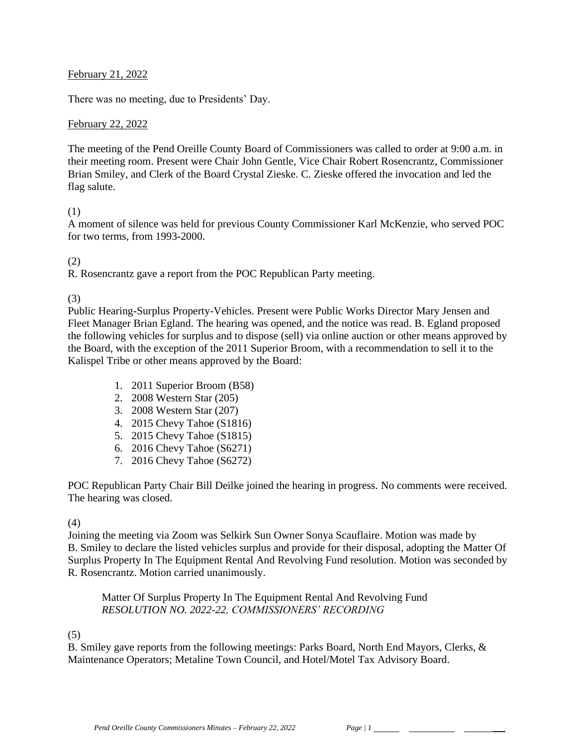#### February 21, 2022

There was no meeting, due to Presidents' Day.

#### February 22, 2022

The meeting of the Pend Oreille County Board of Commissioners was called to order at 9:00 a.m. in their meeting room. Present were Chair John Gentle, Vice Chair Robert Rosencrantz, Commissioner Brian Smiley, and Clerk of the Board Crystal Zieske. C. Zieske offered the invocation and led the flag salute.

#### (1)

A moment of silence was held for previous County Commissioner Karl McKenzie, who served POC for two terms, from 1993-2000.

#### (2)

R. Rosencrantz gave a report from the POC Republican Party meeting.

(3)

Public Hearing-Surplus Property-Vehicles. Present were Public Works Director Mary Jensen and Fleet Manager Brian Egland. The hearing was opened, and the notice was read. B. Egland proposed the following vehicles for surplus and to dispose (sell) via online auction or other means approved by the Board, with the exception of the 2011 Superior Broom, with a recommendation to sell it to the Kalispel Tribe or other means approved by the Board:

- 1. 2011 Superior Broom (B58)
- 2. 2008 Western Star (205)
- 3. 2008 Western Star (207)
- 4. 2015 Chevy Tahoe (S1816)
- 5. 2015 Chevy Tahoe (S1815)
- 6. 2016 Chevy Tahoe (S6271)
- 7. 2016 Chevy Tahoe (S6272)

POC Republican Party Chair Bill Deilke joined the hearing in progress. No comments were received. The hearing was closed.

# (4)

Joining the meeting via Zoom was Selkirk Sun Owner Sonya Scauflaire. Motion was made by B. Smiley to declare the listed vehicles surplus and provide for their disposal, adopting the Matter Of Surplus Property In The Equipment Rental And Revolving Fund resolution. Motion was seconded by R. Rosencrantz. Motion carried unanimously.

Matter Of Surplus Property In The Equipment Rental And Revolving Fund *RESOLUTION NO. 2022-22, COMMISSIONERS' RECORDING* 

# (5)

B. Smiley gave reports from the following meetings: Parks Board, North End Mayors, Clerks, & Maintenance Operators; Metaline Town Council, and Hotel/Motel Tax Advisory Board.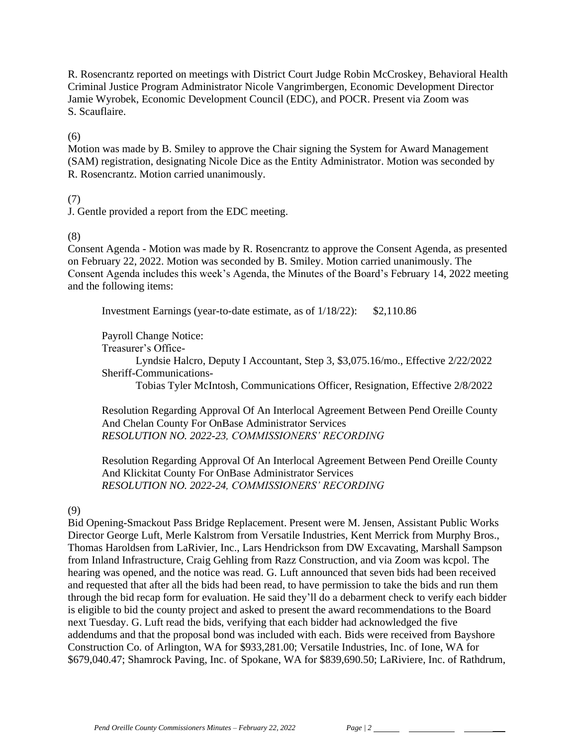R. Rosencrantz reported on meetings with District Court Judge Robin McCroskey, Behavioral Health Criminal Justice Program Administrator Nicole Vangrimbergen, Economic Development Director Jamie Wyrobek, Economic Development Council (EDC), and POCR. Present via Zoom was S. Scauflaire.

#### (6)

Motion was made by B. Smiley to approve the Chair signing the System for Award Management (SAM) registration, designating Nicole Dice as the Entity Administrator. Motion was seconded by R. Rosencrantz. Motion carried unanimously.

#### (7)

J. Gentle provided a report from the EDC meeting.

# (8)

Consent Agenda - Motion was made by R. Rosencrantz to approve the Consent Agenda, as presented on February 22, 2022. Motion was seconded by B. Smiley. Motion carried unanimously. The Consent Agenda includes this week's Agenda, the Minutes of the Board's February 14, 2022 meeting and the following items:

Investment Earnings (year-to-date estimate, as of 1/18/22): \$2,110.86

Payroll Change Notice:

Treasurer's Office-

Lyndsie Halcro, Deputy I Accountant, Step 3, \$3,075.16/mo., Effective 2/22/2022 Sheriff-Communications-

Tobias Tyler McIntosh, Communications Officer, Resignation, Effective 2/8/2022

Resolution Regarding Approval Of An Interlocal Agreement Between Pend Oreille County And Chelan County For OnBase Administrator Services *RESOLUTION NO. 2022-23, COMMISSIONERS' RECORDING*

Resolution Regarding Approval Of An Interlocal Agreement Between Pend Oreille County And Klickitat County For OnBase Administrator Services *RESOLUTION NO. 2022-24, COMMISSIONERS' RECORDING*

# (9)

Bid Opening-Smackout Pass Bridge Replacement. Present were M. Jensen, Assistant Public Works Director George Luft, Merle Kalstrom from Versatile Industries, Kent Merrick from Murphy Bros., Thomas Haroldsen from LaRivier, Inc., Lars Hendrickson from DW Excavating, Marshall Sampson from Inland Infrastructure, Craig Gehling from Razz Construction, and via Zoom was kcpol. The hearing was opened, and the notice was read. G. Luft announced that seven bids had been received and requested that after all the bids had been read, to have permission to take the bids and run them through the bid recap form for evaluation. He said they'll do a debarment check to verify each bidder is eligible to bid the county project and asked to present the award recommendations to the Board next Tuesday. G. Luft read the bids, verifying that each bidder had acknowledged the five addendums and that the proposal bond was included with each. Bids were received from Bayshore Construction Co. of Arlington, WA for \$933,281.00; Versatile Industries, Inc. of Ione, WA for \$679,040.47; Shamrock Paving, Inc. of Spokane, WA for \$839,690.50; LaRiviere, Inc. of Rathdrum,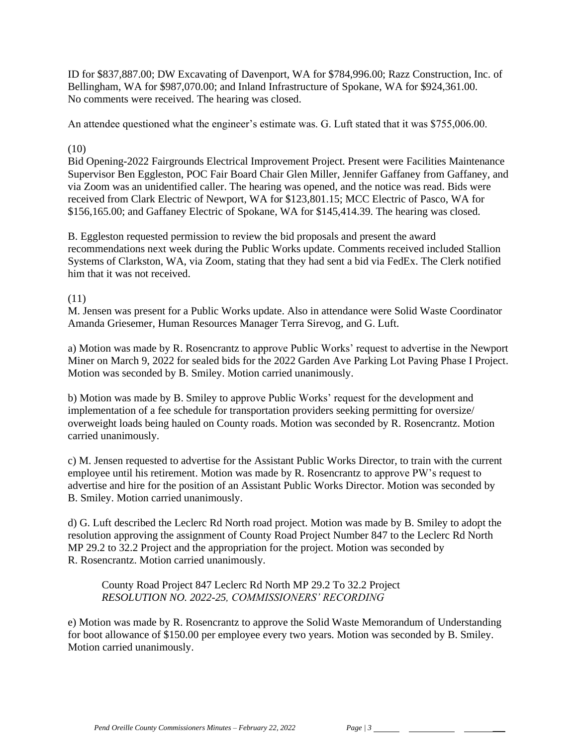ID for \$837,887.00; DW Excavating of Davenport, WA for \$784,996.00; Razz Construction, Inc. of Bellingham, WA for \$987,070.00; and Inland Infrastructure of Spokane, WA for \$924,361.00. No comments were received. The hearing was closed.

An attendee questioned what the engineer's estimate was. G. Luft stated that it was \$755,006.00.

#### (10)

Bid Opening-2022 Fairgrounds Electrical Improvement Project. Present were Facilities Maintenance Supervisor Ben Eggleston, POC Fair Board Chair Glen Miller, Jennifer Gaffaney from Gaffaney, and via Zoom was an unidentified caller. The hearing was opened, and the notice was read. Bids were received from Clark Electric of Newport, WA for \$123,801.15; MCC Electric of Pasco, WA for \$156,165.00; and Gaffaney Electric of Spokane, WA for \$145,414.39. The hearing was closed.

B. Eggleston requested permission to review the bid proposals and present the award recommendations next week during the Public Works update. Comments received included Stallion Systems of Clarkston, WA, via Zoom, stating that they had sent a bid via FedEx. The Clerk notified him that it was not received.

#### (11)

M. Jensen was present for a Public Works update. Also in attendance were Solid Waste Coordinator Amanda Griesemer, Human Resources Manager Terra Sirevog, and G. Luft.

a) Motion was made by R. Rosencrantz to approve Public Works' request to advertise in the Newport Miner on March 9, 2022 for sealed bids for the 2022 Garden Ave Parking Lot Paving Phase I Project. Motion was seconded by B. Smiley. Motion carried unanimously.

b) Motion was made by B. Smiley to approve Public Works' request for the development and implementation of a fee schedule for transportation providers seeking permitting for oversize/ overweight loads being hauled on County roads. Motion was seconded by R. Rosencrantz. Motion carried unanimously.

c) M. Jensen requested to advertise for the Assistant Public Works Director, to train with the current employee until his retirement. Motion was made by R. Rosencrantz to approve PW's request to advertise and hire for the position of an Assistant Public Works Director. Motion was seconded by B. Smiley. Motion carried unanimously.

d) G. Luft described the Leclerc Rd North road project. Motion was made by B. Smiley to adopt the resolution approving the assignment of County Road Project Number 847 to the Leclerc Rd North MP 29.2 to 32.2 Project and the appropriation for the project. Motion was seconded by R. Rosencrantz. Motion carried unanimously.

County Road Project 847 Leclerc Rd North MP 29.2 To 32.2 Project *RESOLUTION NO. 2022-25, COMMISSIONERS' RECORDING* 

e) Motion was made by R. Rosencrantz to approve the Solid Waste Memorandum of Understanding for boot allowance of \$150.00 per employee every two years. Motion was seconded by B. Smiley. Motion carried unanimously.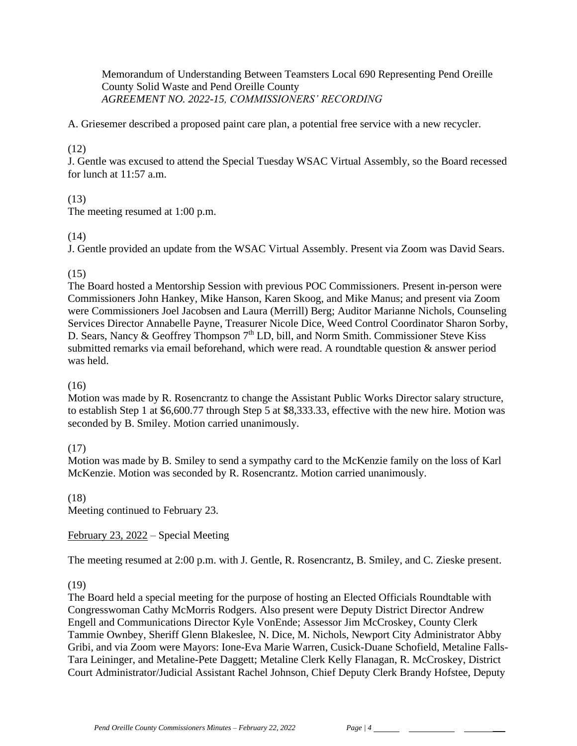Memorandum of Understanding Between Teamsters Local 690 Representing Pend Oreille County Solid Waste and Pend Oreille County *AGREEMENT NO. 2022-15, COMMISSIONERS' RECORDING* 

A. Griesemer described a proposed paint care plan, a potential free service with a new recycler.

# (12)

J. Gentle was excused to attend the Special Tuesday WSAC Virtual Assembly, so the Board recessed for lunch at  $11:57$  a.m.

# (13)

The meeting resumed at 1:00 p.m.

# (14)

J. Gentle provided an update from the WSAC Virtual Assembly. Present via Zoom was David Sears.

# (15)

The Board hosted a Mentorship Session with previous POC Commissioners. Present in-person were Commissioners John Hankey, Mike Hanson, Karen Skoog, and Mike Manus; and present via Zoom were Commissioners Joel Jacobsen and Laura (Merrill) Berg; Auditor Marianne Nichols, Counseling Services Director Annabelle Payne, Treasurer Nicole Dice, Weed Control Coordinator Sharon Sorby, D. Sears, Nancy & Geoffrey Thompson 7<sup>th</sup> LD, bill, and Norm Smith. Commissioner Steve Kiss submitted remarks via email beforehand, which were read. A roundtable question & answer period was held.

# (16)

Motion was made by R. Rosencrantz to change the Assistant Public Works Director salary structure, to establish Step 1 at \$6,600.77 through Step 5 at \$8,333.33, effective with the new hire. Motion was seconded by B. Smiley. Motion carried unanimously.

# (17)

Motion was made by B. Smiley to send a sympathy card to the McKenzie family on the loss of Karl McKenzie. Motion was seconded by R. Rosencrantz. Motion carried unanimously.

(18) Meeting continued to February 23.

February 23, 2022 – Special Meeting

The meeting resumed at 2:00 p.m. with J. Gentle, R. Rosencrantz, B. Smiley, and C. Zieske present.

# (19)

The Board held a special meeting for the purpose of hosting an Elected Officials Roundtable with Congresswoman Cathy McMorris Rodgers. Also present were Deputy District Director Andrew Engell and Communications Director Kyle VonEnde; Assessor Jim McCroskey, County Clerk Tammie Ownbey, Sheriff Glenn Blakeslee, N. Dice, M. Nichols, Newport City Administrator Abby Gribi, and via Zoom were Mayors: Ione-Eva Marie Warren, Cusick-Duane Schofield, Metaline Falls-Tara Leininger, and Metaline-Pete Daggett; Metaline Clerk Kelly Flanagan, R. McCroskey, District Court Administrator/Judicial Assistant Rachel Johnson, Chief Deputy Clerk Brandy Hofstee, Deputy